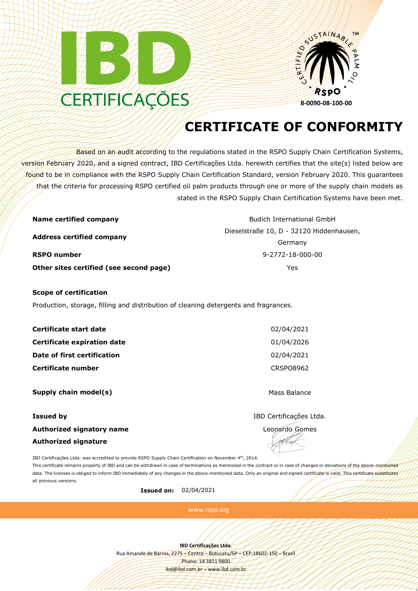



## **CERTIFICATE OF CONFORMITY**

Based on an audit according to the regulations stated in the RSPO Supply Chain Certification Systems, version February 2020, and a signed contract, IBD Certificações Ltda. herewith certifies that the site(s) listed below are found to be in compliance with the RSPO Supply Chain Certification Standard, version February 2020. This guarantees that the criteria for processing RSPO certified oil palm products through one or more of the supply chain models as stated in the RSPO Supply Chain Certification Systems have been met.

| Name certified company                  | <b>Budich International GmbH</b>         |
|-----------------------------------------|------------------------------------------|
| <b>Address certified company</b>        | Dieselstraße 10, D - 32120 Hiddenhausen, |
|                                         | Germany                                  |
| <b>RSPO number</b>                      | 9-2772-18-000-00                         |
| Other sites certified (see second page) | Yes                                      |

## **Scope of certification**

Production, storage, filling and distribution of cleaning detergents and fragrances.

| Certificate start date      | 02/04/2021       |
|-----------------------------|------------------|
| Certificate expiration date | 01/04/2026       |
| Date of first certification | 02/04/2021       |
| Certificate number          | <b>CRSPO8962</b> |
|                             |                  |

**Supply chain model(s)** Mass Balance

## **Issued by** IBD Certificações Ltda. **Authorized signatory name** Leonardo Gomes **Authorized signature**

1

IBD Certificações Ltda. was accredited to provide RSPO Supply Chain Certification on November 4th, 2014.

This certificate remains property of IBD and can be withdrawn in case of terminations as mentioned in the contract or in case of changes or deviations of the above-mentioned data. The licensee is obliged to inform IBD immediately of any changes in the above-mentioned data. Only an original and signed certificate is valid. This certificate substitutes all previous versions.

**Issued on:** 02/04/2021

www.rspo.org

**IBD Certificações Ltda.**

Rua Amando de Barros, 2275 – Centro – Botucatu/SP – CEP:18602-150 – Brasil Phone: 14 3811 9800 ibd@ibd.com.br – www.ibd.com.br